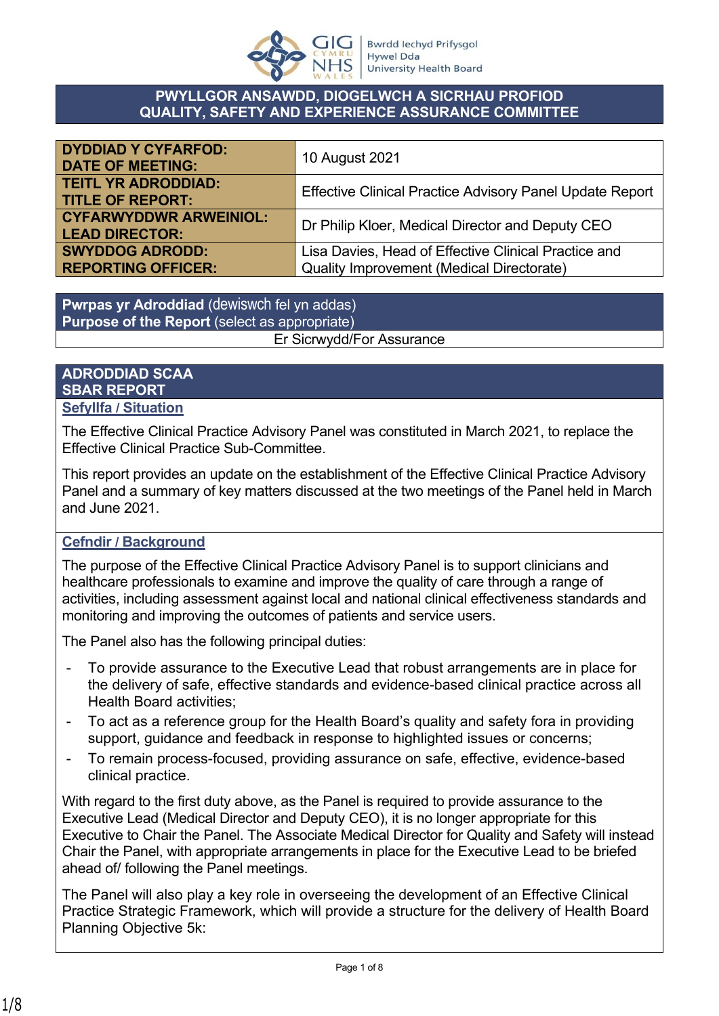

#### **PWYLLGOR ANSAWDD, DIOGELWCH A SICRHAU PROFIOD QUALITY, SAFETY AND EXPERIENCE ASSURANCE COMMITTEE**

| <b>DYDDIAD Y CYFARFOD:</b><br><b>DATE OF MEETING:</b>  | 10 August 2021                                                                                           |
|--------------------------------------------------------|----------------------------------------------------------------------------------------------------------|
| <b>TEITL YR ADRODDIAD:</b><br><b>TITLE OF REPORT:</b>  | <b>Effective Clinical Practice Advisory Panel Update Report</b>                                          |
| <b>CYFARWYDDWR ARWEINIOL:</b><br><b>LEAD DIRECTOR:</b> | Dr Philip Kloer, Medical Director and Deputy CEO                                                         |
| <b>SWYDDOG ADRODD:</b><br><b>REPORTING OFFICER:</b>    | Lisa Davies, Head of Effective Clinical Practice and<br><b>Quality Improvement (Medical Directorate)</b> |

**Pwrpas yr Adroddiad** (dewiswch fel yn addas) **Purpose of the Report** (select as appropriate) Er Sicrwydd/For Assurance

#### **ADRODDIAD SCAA SBAR REPORT Sefyllfa / Situation**

The Effective Clinical Practice Advisory Panel was constituted in March 2021, to replace the Effective Clinical Practice Sub-Committee.

This report provides an update on the establishment of the Effective Clinical Practice Advisory Panel and a summary of key matters discussed at the two meetings of the Panel held in March and June 2021.

#### **Cefndir / Background**

The purpose of the Effective Clinical Practice Advisory Panel is to support clinicians and healthcare professionals to examine and improve the quality of care through a range of activities, including assessment against local and national clinical effectiveness standards and monitoring and improving the outcomes of patients and service users.

The Panel also has the following principal duties:

- To provide assurance to the Executive Lead that robust arrangements are in place for the delivery of safe, effective standards and evidence-based clinical practice across all Health Board activities;
- To act as a reference group for the Health Board's quality and safety fora in providing support, guidance and feedback in response to highlighted issues or concerns;
- To remain process-focused, providing assurance on safe, effective, evidence-based clinical practice.

With regard to the first duty above, as the Panel is required to provide assurance to the Executive Lead (Medical Director and Deputy CEO), it is no longer appropriate for this Executive to Chair the Panel. The Associate Medical Director for Quality and Safety will instead Chair the Panel, with appropriate arrangements in place for the Executive Lead to be briefed ahead of/ following the Panel meetings.

The Panel will also play a key role in overseeing the development of an Effective Clinical Practice Strategic Framework, which will provide a structure for the delivery of Health Board Planning Objective 5k: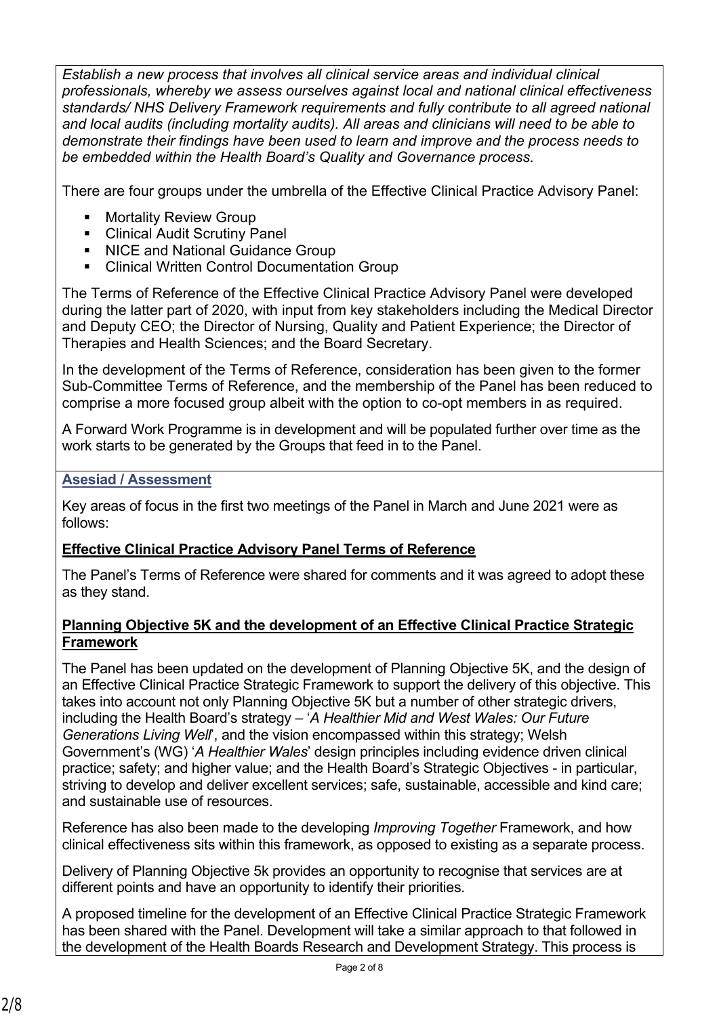*Establish a new process that involves all clinical service areas and individual clinical professionals, whereby we assess ourselves against local and national clinical effectiveness standards/ NHS Delivery Framework requirements and fully contribute to all agreed national and local audits (including mortality audits). All areas and clinicians will need to be able to demonstrate their findings have been used to learn and improve and the process needs to be embedded within the Health Board's Quality and Governance process.*

There are four groups under the umbrella of the Effective Clinical Practice Advisory Panel:

- **Mortality Review Group**
- **Clinical Audit Scrutiny Panel**
- NICE and National Guidance Group
- Clinical Written Control Documentation Group

The Terms of Reference of the Effective Clinical Practice Advisory Panel were developed during the latter part of 2020, with input from key stakeholders including the Medical Director and Deputy CEO; the Director of Nursing, Quality and Patient Experience; the Director of Therapies and Health Sciences; and the Board Secretary.

In the development of the Terms of Reference, consideration has been given to the former Sub-Committee Terms of Reference, and the membership of the Panel has been reduced to comprise a more focused group albeit with the option to co-opt members in as required.

A Forward Work Programme is in development and will be populated further over time as the work starts to be generated by the Groups that feed in to the Panel.

# **Asesiad / Assessment**

Key areas of focus in the first two meetings of the Panel in March and June 2021 were as follows:

# **Effective Clinical Practice Advisory Panel Terms of Reference**

The Panel's Terms of Reference were shared for comments and it was agreed to adopt these as they stand.

#### **Planning Objective 5K and the development of an Effective Clinical Practice Strategic Framework**

The Panel has been updated on the development of Planning Objective 5K, and the design of an Effective Clinical Practice Strategic Framework to support the delivery of this objective. This takes into account not only Planning Objective 5K but a number of other strategic drivers, including the Health Board's strategy – '*A Healthier Mid and West Wales: Our Future Generations Living Well*', and the vision encompassed within this strategy; Welsh Government's (WG) '*A Healthier Wales*' design principles including evidence driven clinical practice; safety; and higher value; and the Health Board's Strategic Objectives - in particular, striving to develop and deliver excellent services; safe, sustainable, accessible and kind care; and sustainable use of resources.

Reference has also been made to the developing *Improving Together* Framework, and how clinical effectiveness sits within this framework, as opposed to existing as a separate process.

Delivery of Planning Objective 5k provides an opportunity to recognise that services are at different points and have an opportunity to identify their priorities.

A proposed timeline for the development of an Effective Clinical Practice Strategic Framework has been shared with the Panel. Development will take a similar approach to that followed in the development of the Health Boards Research and Development Strategy. This process is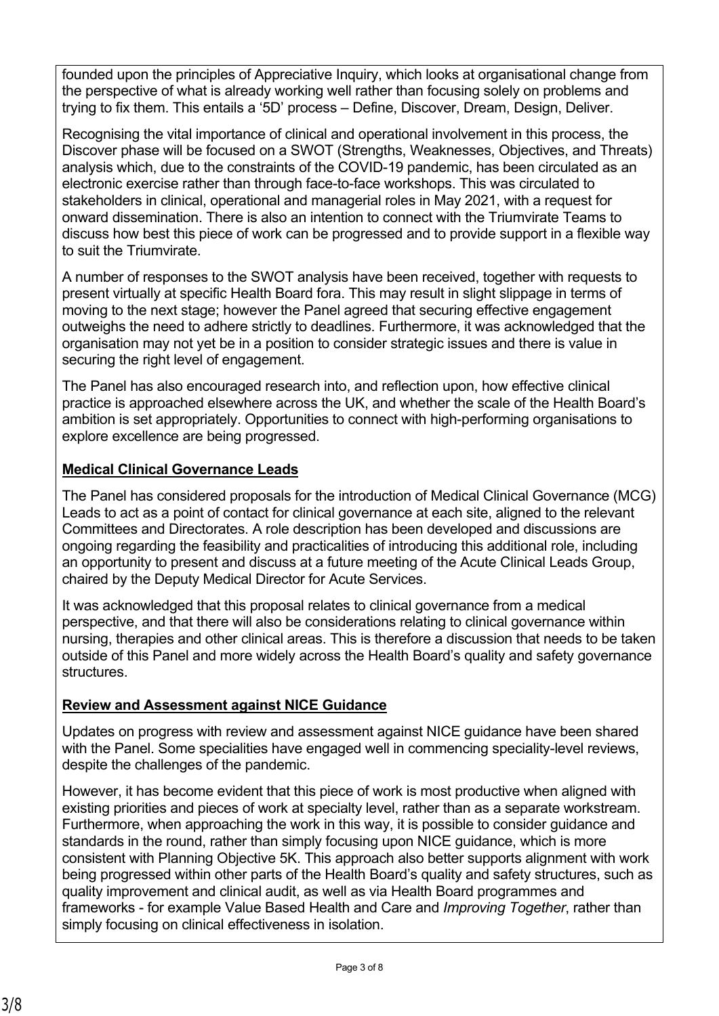founded upon the principles of Appreciative Inquiry, which looks at organisational change from the perspective of what is already working well rather than focusing solely on problems and trying to fix them. This entails a '5D' process – Define, Discover, Dream, Design, Deliver.

Recognising the vital importance of clinical and operational involvement in this process, the Discover phase will be focused on a SWOT (Strengths, Weaknesses, Objectives, and Threats) analysis which, due to the constraints of the COVID-19 pandemic, has been circulated as an electronic exercise rather than through face-to-face workshops. This was circulated to stakeholders in clinical, operational and managerial roles in May 2021, with a request for onward dissemination. There is also an intention to connect with the Triumvirate Teams to discuss how best this piece of work can be progressed and to provide support in a flexible way to suit the Triumvirate.

A number of responses to the SWOT analysis have been received, together with requests to present virtually at specific Health Board fora. This may result in slight slippage in terms of moving to the next stage; however the Panel agreed that securing effective engagement outweighs the need to adhere strictly to deadlines. Furthermore, it was acknowledged that the organisation may not yet be in a position to consider strategic issues and there is value in securing the right level of engagement.

The Panel has also encouraged research into, and reflection upon, how effective clinical practice is approached elsewhere across the UK, and whether the scale of the Health Board's ambition is set appropriately. Opportunities to connect with high-performing organisations to explore excellence are being progressed.

# **Medical Clinical Governance Leads**

The Panel has considered proposals for the introduction of Medical Clinical Governance (MCG) Leads to act as a point of contact for clinical governance at each site, aligned to the relevant Committees and Directorates. A role description has been developed and discussions are ongoing regarding the feasibility and practicalities of introducing this additional role, including an opportunity to present and discuss at a future meeting of the Acute Clinical Leads Group, chaired by the Deputy Medical Director for Acute Services.

It was acknowledged that this proposal relates to clinical governance from a medical perspective, and that there will also be considerations relating to clinical governance within nursing, therapies and other clinical areas. This is therefore a discussion that needs to be taken outside of this Panel and more widely across the Health Board's quality and safety governance structures.

# **Review and Assessment against NICE Guidance**

Updates on progress with review and assessment against NICE guidance have been shared with the Panel. Some specialities have engaged well in commencing speciality-level reviews, despite the challenges of the pandemic.

However, it has become evident that this piece of work is most productive when aligned with existing priorities and pieces of work at specialty level, rather than as a separate workstream. Furthermore, when approaching the work in this way, it is possible to consider guidance and standards in the round, rather than simply focusing upon NICE guidance, which is more consistent with Planning Objective 5K. This approach also better supports alignment with work being progressed within other parts of the Health Board's quality and safety structures, such as quality improvement and clinical audit, as well as via Health Board programmes and frameworks - for example Value Based Health and Care and *Improving Together*, rather than simply focusing on clinical effectiveness in isolation.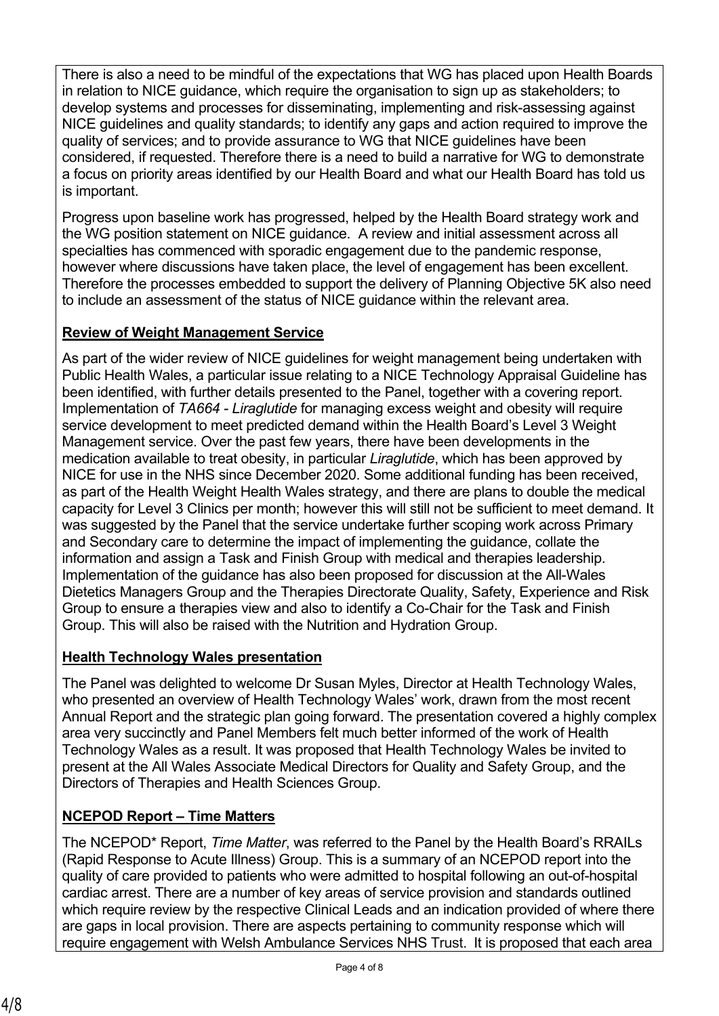There is also a need to be mindful of the expectations that WG has placed upon Health Boards in relation to NICE guidance, which require the organisation to sign up as stakeholders; to develop systems and processes for disseminating, implementing and risk-assessing against NICE guidelines and quality standards; to identify any gaps and action required to improve the quality of services; and to provide assurance to WG that NICE guidelines have been considered, if requested. Therefore there is a need to build a narrative for WG to demonstrate a focus on priority areas identified by our Health Board and what our Health Board has told us is important.

Progress upon baseline work has progressed, helped by the Health Board strategy work and the WG position statement on NICE guidance. A review and initial assessment across all specialties has commenced with sporadic engagement due to the pandemic response, however where discussions have taken place, the level of engagement has been excellent. Therefore the processes embedded to support the delivery of Planning Objective 5K also need to include an assessment of the status of NICE guidance within the relevant area.

# **Review of Weight Management Service**

As part of the wider review of NICE guidelines for weight management being undertaken with Public Health Wales, a particular issue relating to a NICE Technology Appraisal Guideline has been identified, with further details presented to the Panel, together with a covering report. Implementation of *TA664 - Liraglutide* for managing excess weight and obesity will require service development to meet predicted demand within the Health Board's Level 3 Weight Management service. Over the past few years, there have been developments in the medication available to treat obesity, in particular *Liraglutide*, which has been approved by NICE for use in the NHS since December 2020. Some additional funding has been received, as part of the Health Weight Health Wales strategy, and there are plans to double the medical capacity for Level 3 Clinics per month; however this will still not be sufficient to meet demand. It was suggested by the Panel that the service undertake further scoping work across Primary and Secondary care to determine the impact of implementing the guidance, collate the information and assign a Task and Finish Group with medical and therapies leadership. Implementation of the guidance has also been proposed for discussion at the All-Wales Dietetics Managers Group and the Therapies Directorate Quality, Safety, Experience and Risk Group to ensure a therapies view and also to identify a Co-Chair for the Task and Finish Group. This will also be raised with the Nutrition and Hydration Group.

# **Health Technology Wales presentation**

The Panel was delighted to welcome Dr Susan Myles, Director at Health Technology Wales, who presented an overview of Health Technology Wales' work, drawn from the most recent Annual Report and the strategic plan going forward. The presentation covered a highly complex area very succinctly and Panel Members felt much better informed of the work of Health Technology Wales as a result. It was proposed that Health Technology Wales be invited to present at the All Wales Associate Medical Directors for Quality and Safety Group, and the Directors of Therapies and Health Sciences Group.

# **NCEPOD Report – Time Matters**

The NCEPOD\* Report, *Time Matter*, was referred to the Panel by the Health Board's RRAILs (Rapid Response to Acute Illness) Group. This is a summary of an NCEPOD report into the quality of care provided to patients who were admitted to hospital following an out-of-hospital cardiac arrest. There are a number of key areas of service provision and standards outlined which require review by the respective Clinical Leads and an indication provided of where there are gaps in local provision. There are aspects pertaining to community response which will require engagement with Welsh Ambulance Services NHS Trust. It is proposed that each area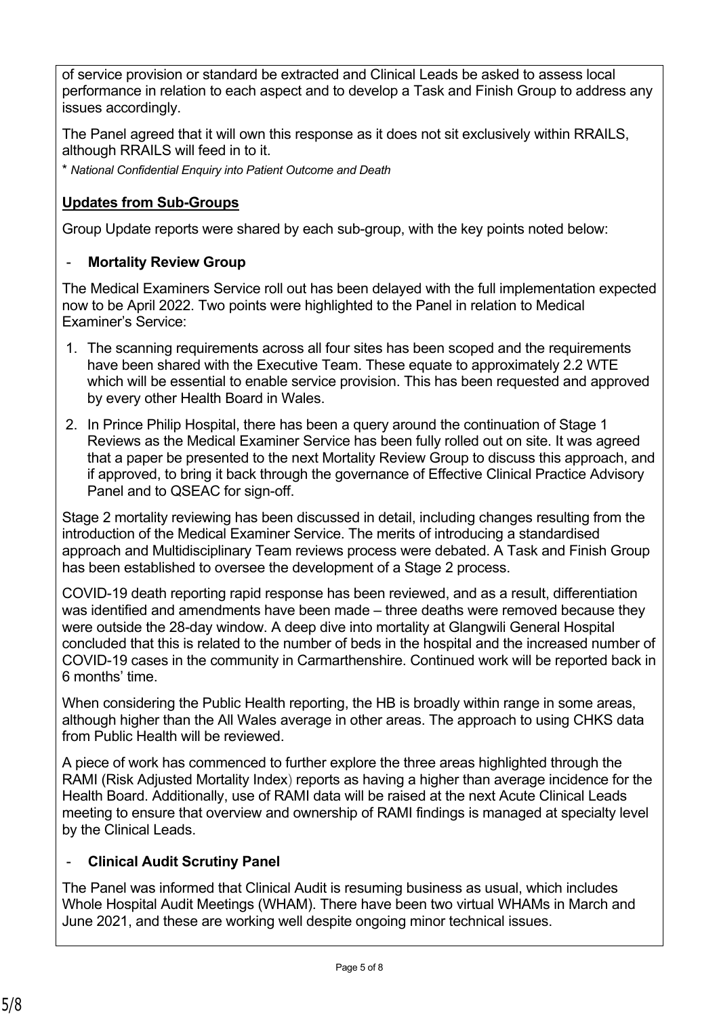of service provision or standard be extracted and Clinical Leads be asked to assess local performance in relation to each aspect and to develop a Task and Finish Group to address any issues accordingly.

The Panel agreed that it will own this response as it does not sit exclusively within RRAILS, although RRAILS will feed in to it.

\* *National Confidential Enquiry into Patient Outcome and Death*

#### **Updates from Sub-Groups**

Group Update reports were shared by each sub-group, with the key points noted below:

#### **Mortality Review Group**

The Medical Examiners Service roll out has been delayed with the full implementation expected now to be April 2022. Two points were highlighted to the Panel in relation to Medical Examiner's Service:

- 1. The scanning requirements across all four sites has been scoped and the requirements have been shared with the Executive Team. These equate to approximately 2.2 WTE which will be essential to enable service provision. This has been requested and approved by every other Health Board in Wales.
- 2. In Prince Philip Hospital, there has been a query around the continuation of Stage 1 Reviews as the Medical Examiner Service has been fully rolled out on site. It was agreed that a paper be presented to the next Mortality Review Group to discuss this approach, and if approved, to bring it back through the governance of Effective Clinical Practice Advisory Panel and to QSEAC for sign-off.

Stage 2 mortality reviewing has been discussed in detail, including changes resulting from the introduction of the Medical Examiner Service. The merits of introducing a standardised approach and Multidisciplinary Team reviews process were debated. A Task and Finish Group has been established to oversee the development of a Stage 2 process.

COVID-19 death reporting rapid response has been reviewed, and as a result, differentiation was identified and amendments have been made – three deaths were removed because they were outside the 28-day window. A deep dive into mortality at Glangwili General Hospital concluded that this is related to the number of beds in the hospital and the increased number of COVID-19 cases in the community in Carmarthenshire. Continued work will be reported back in 6 months' time.

When considering the Public Health reporting, the HB is broadly within range in some areas, although higher than the All Wales average in other areas. The approach to using CHKS data from Public Health will be reviewed.

A piece of work has commenced to further explore the three areas highlighted through the RAMI (Risk Adjusted Mortality Index) reports as having a higher than average incidence for the Health Board. Additionally, use of RAMI data will be raised at the next Acute Clinical Leads meeting to ensure that overview and ownership of RAMI findings is managed at specialty level by the Clinical Leads.

# - **Clinical Audit Scrutiny Panel**

The Panel was informed that Clinical Audit is resuming business as usual, which includes Whole Hospital Audit Meetings (WHAM). There have been two virtual WHAMs in March and June 2021, and these are working well despite ongoing minor technical issues.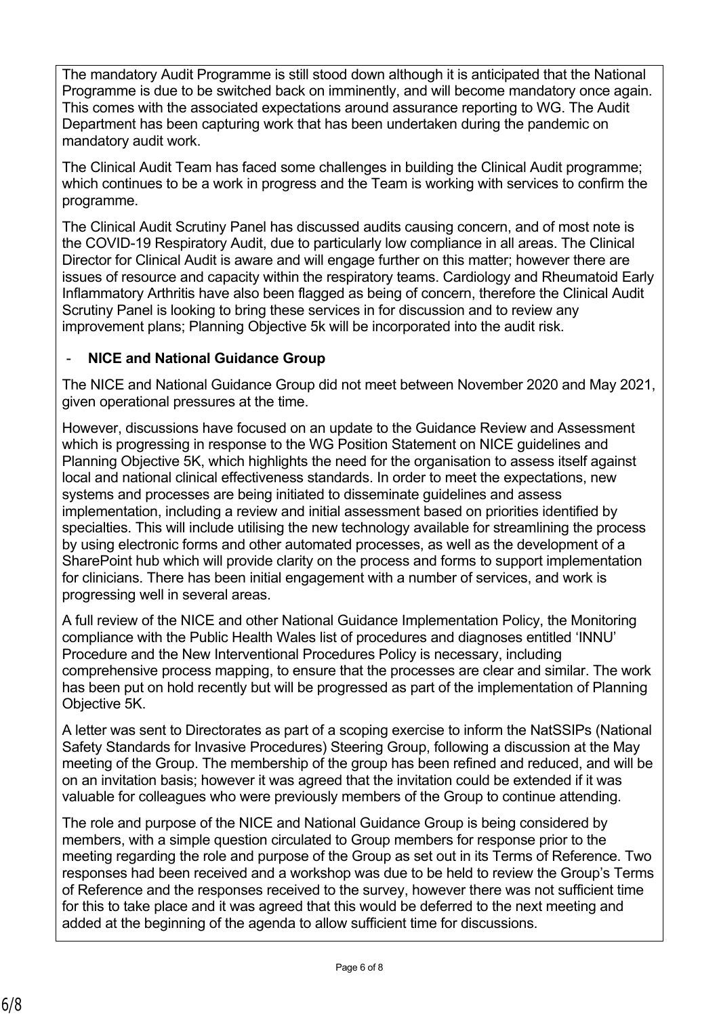The mandatory Audit Programme is still stood down although it is anticipated that the National Programme is due to be switched back on imminently, and will become mandatory once again. This comes with the associated expectations around assurance reporting to WG. The Audit Department has been capturing work that has been undertaken during the pandemic on mandatory audit work.

The Clinical Audit Team has faced some challenges in building the Clinical Audit programme; which continues to be a work in progress and the Team is working with services to confirm the programme.

The Clinical Audit Scrutiny Panel has discussed audits causing concern, and of most note is the COVID-19 Respiratory Audit, due to particularly low compliance in all areas. The Clinical Director for Clinical Audit is aware and will engage further on this matter; however there are issues of resource and capacity within the respiratory teams. Cardiology and Rheumatoid Early Inflammatory Arthritis have also been flagged as being of concern, therefore the Clinical Audit Scrutiny Panel is looking to bring these services in for discussion and to review any improvement plans; Planning Objective 5k will be incorporated into the audit risk.

#### - **NICE and National Guidance Group**

The NICE and National Guidance Group did not meet between November 2020 and May 2021, given operational pressures at the time.

However, discussions have focused on an update to the Guidance Review and Assessment which is progressing in response to the WG Position Statement on NICE guidelines and Planning Objective 5K, which highlights the need for the organisation to assess itself against local and national clinical effectiveness standards. In order to meet the expectations, new systems and processes are being initiated to disseminate guidelines and assess implementation, including a review and initial assessment based on priorities identified by specialties. This will include utilising the new technology available for streamlining the process by using electronic forms and other automated processes, as well as the development of a SharePoint hub which will provide clarity on the process and forms to support implementation for clinicians. There has been initial engagement with a number of services, and work is progressing well in several areas.

A full review of the NICE and other National Guidance Implementation Policy, the Monitoring compliance with the Public Health Wales list of procedures and diagnoses entitled 'INNU' Procedure and the New Interventional Procedures Policy is necessary, including comprehensive process mapping, to ensure that the processes are clear and similar. The work has been put on hold recently but will be progressed as part of the implementation of Planning Objective 5K.

A letter was sent to Directorates as part of a scoping exercise to inform the NatSSIPs (National Safety Standards for Invasive Procedures) Steering Group, following a discussion at the May meeting of the Group. The membership of the group has been refined and reduced, and will be on an invitation basis; however it was agreed that the invitation could be extended if it was valuable for colleagues who were previously members of the Group to continue attending.

The role and purpose of the NICE and National Guidance Group is being considered by members, with a simple question circulated to Group members for response prior to the meeting regarding the role and purpose of the Group as set out in its Terms of Reference. Two responses had been received and a workshop was due to be held to review the Group's Terms of Reference and the responses received to the survey, however there was not sufficient time for this to take place and it was agreed that this would be deferred to the next meeting and added at the beginning of the agenda to allow sufficient time for discussions.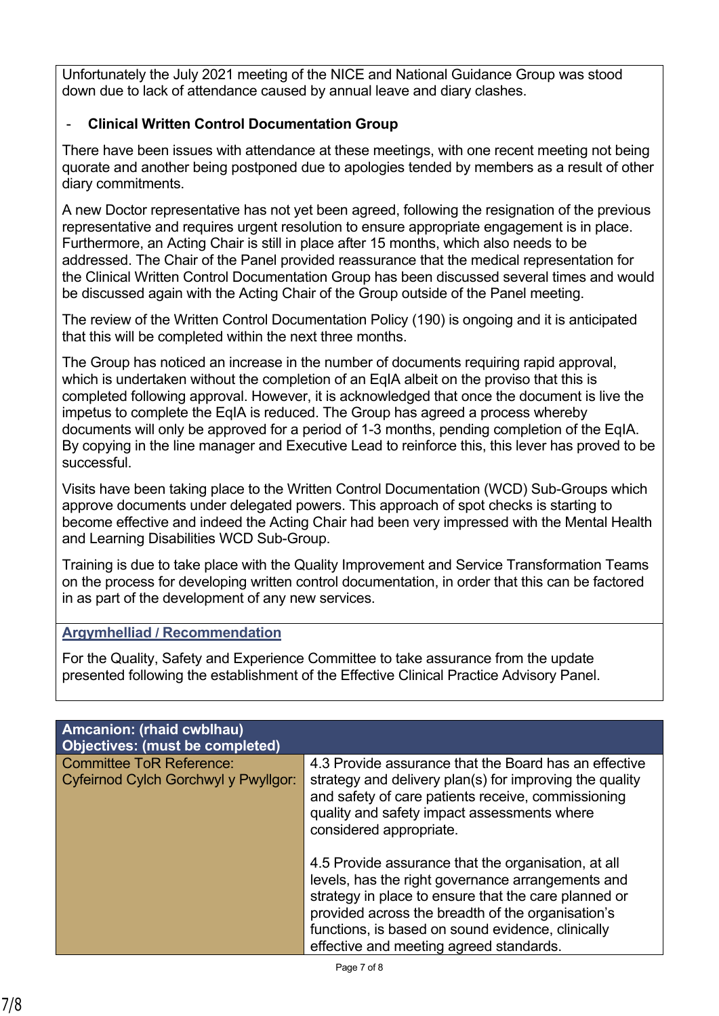Unfortunately the July 2021 meeting of the NICE and National Guidance Group was stood down due to lack of attendance caused by annual leave and diary clashes.

# - **Clinical Written Control Documentation Group**

There have been issues with attendance at these meetings, with one recent meeting not being quorate and another being postponed due to apologies tended by members as a result of other diary commitments.

A new Doctor representative has not yet been agreed, following the resignation of the previous representative and requires urgent resolution to ensure appropriate engagement is in place. Furthermore, an Acting Chair is still in place after 15 months, which also needs to be addressed. The Chair of the Panel provided reassurance that the medical representation for the Clinical Written Control Documentation Group has been discussed several times and would be discussed again with the Acting Chair of the Group outside of the Panel meeting.

The review of the Written Control Documentation Policy (190) is ongoing and it is anticipated that this will be completed within the next three months.

The Group has noticed an increase in the number of documents requiring rapid approval, which is undertaken without the completion of an EqIA albeit on the proviso that this is completed following approval. However, it is acknowledged that once the document is live the impetus to complete the EqIA is reduced. The Group has agreed a process whereby documents will only be approved for a period of 1-3 months, pending completion of the EqIA. By copying in the line manager and Executive Lead to reinforce this, this lever has proved to be successful.

Visits have been taking place to the Written Control Documentation (WCD) Sub-Groups which approve documents under delegated powers. This approach of spot checks is starting to become effective and indeed the Acting Chair had been very impressed with the Mental Health and Learning Disabilities WCD Sub-Group.

Training is due to take place with the Quality Improvement and Service Transformation Teams on the process for developing written control documentation, in order that this can be factored in as part of the development of any new services.

# **Argymhelliad / Recommendation**

For the Quality, Safety and Experience Committee to take assurance from the update presented following the establishment of the Effective Clinical Practice Advisory Panel.

| Amcanion: (rhaid cwblhau)<br>Objectives: (must be completed)                   |                                                                                                                                                                                                                                                                                                                       |
|--------------------------------------------------------------------------------|-----------------------------------------------------------------------------------------------------------------------------------------------------------------------------------------------------------------------------------------------------------------------------------------------------------------------|
| <b>Committee ToR Reference:</b><br><b>Cyfeirnod Cylch Gorchwyl y Pwyllgor:</b> | 4.3 Provide assurance that the Board has an effective<br>strategy and delivery plan(s) for improving the quality<br>and safety of care patients receive, commissioning<br>quality and safety impact assessments where<br>considered appropriate.                                                                      |
|                                                                                | 4.5 Provide assurance that the organisation, at all<br>levels, has the right governance arrangements and<br>strategy in place to ensure that the care planned or<br>provided across the breadth of the organisation's<br>functions, is based on sound evidence, clinically<br>effective and meeting agreed standards. |